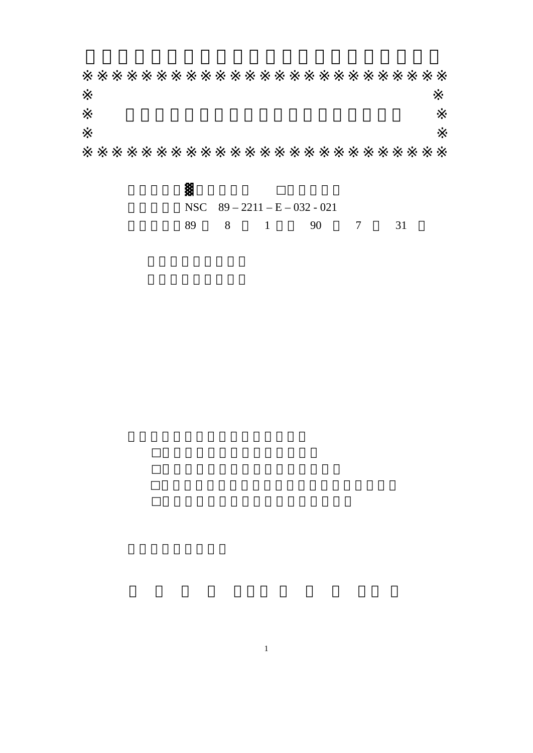|  |  | NSC $89 - 2211 - E - 032 - 021$ |      |  |
|--|--|---------------------------------|------|--|
|  |  | 8 1 90                          | 7 31 |  |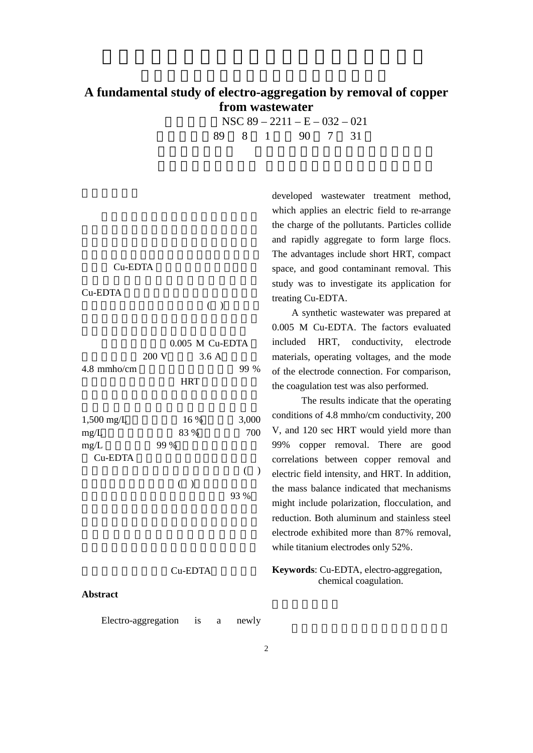## **A fundamental study of electro-aggregation by removal of copper from wastewater**

|  |  | NSC $89 - 2211 - E - 032 - 021$ |  |
|--|--|---------------------------------|--|
|  |  | 89 8 1 90 7 31                  |  |

C<sub>u-EDTA</sub>

 $Cu$ -EDTA

 $($  )

| $4.8$ mmho/cm                | $0.005$ M Cu-EDTA<br>200 V<br>3.6A<br><b>HRT</b> | 99 %         |
|------------------------------|--------------------------------------------------|--------------|
| $1,500$ mg/L<br>mg/L<br>mg/L | 16 %<br>83 %<br>99 %                             | 3,000<br>700 |
| Cu-EDTA                      | $($ )                                            | €<br>93 %    |

## Cu-EDTA

## **Abstract**

Electro-aggregation is a newly

developed wastewater treatment method, which applies an electric field to re-arrange the charge of the pollutants. Particles collide and rapidly aggregate to form large flocs. The advantages include short HRT, compact space, and good contaminant removal. This study was to investigate its application for treating Cu-EDTA.

A synthetic wastewater was prepared at 0.005 M Cu-EDTA. The factors evaluated included HRT, conductivity, electrode materials, operating voltages, and the mode of the electrode connection. For comparison, the coagulation test was also performed.

The results indicate that the operating conditions of 4.8 mmho/cm conductivity, 200 V, and 120 sec HRT would yield more than 99% copper removal. There are good correlations between copper removal and electric field intensity, and HRT. In addition, the mass balance indicated that mechanisms might include polarization, flocculation, and reduction. Both aluminum and stainless steel electrode exhibited more than 87% removal, while titanium electrodes only 52%.

## **Keywords**: Cu-EDTA, electro-aggregation, chemical coagulation.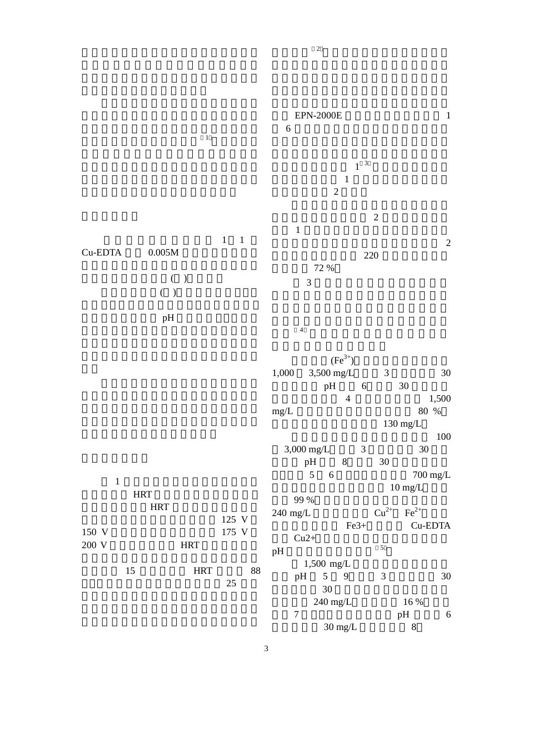$\frac{1}{\sqrt{1-\frac{1}{\sqrt{1-\frac{1}{\sqrt{1-\frac{1}{\sqrt{1-\frac{1}{\sqrt{1-\frac{1}{\sqrt{1-\frac{1}{\sqrt{1-\frac{1}{\sqrt{1-\frac{1}{\sqrt{1-\frac{1}{\sqrt{1-\frac{1}{\sqrt{1-\frac{1}{\sqrt{1-\frac{1}{\sqrt{1-\frac{1}{\sqrt{1-\frac{1}{\sqrt{1-\frac{1}{\sqrt{1-\frac{1}{\sqrt{1-\frac{1}{\sqrt{1-\frac{1}{\sqrt{1-\frac{1}{\sqrt{1-\frac{1}{\sqrt{1-\frac{1}{\sqrt{1-\frac{1}{\sqrt{1-\frac{1}{\sqrt{1-\frac{1$  $1 \quad 1$  $Cu$ -EDTA  $0.005M$  $(\ )$  $( )$  $pH$  $1$ HRT HRT 125 V 150 V 175 V  $200 \text{ V}$  HRT 15 HRT 88  $25$  $EPN-2000E$  1  $6$  $\sim$  1  $3$  $\frac{1}{1}$  and  $\frac{1}{1}$  and  $\frac{1}{1}$  and  $\frac{1}{1}$  and  $\frac{1}{1}$  and  $\frac{1}{1}$  and  $\frac{1}{1}$  and  $\frac{1}{1}$  and  $\frac{1}{1}$  and  $\frac{1}{1}$  and  $\frac{1}{1}$  and  $\frac{1}{1}$  and  $\frac{1}{1}$  and  $\frac{1}{1}$  and  $\frac{1}{1}$  and  $\frac{1}{1}$  a  $\overline{2}$  $\overline{c}$  2 0  $\overline{c}$  2 0  $\overline{c}$  2 0  $\overline{c}$  2 0  $\overline{c}$  2 0  $\overline{c}$  2 0  $\overline{c}$  2 0  $\overline{c}$  2 0  $\overline{c}$  2 0  $\overline{c}$  2 0  $\overline{c}$  2 0  $\overline{c}$  2 0  $\overline{c}$  2 0  $\overline{c}$  2 0  $\overline{c}$  2 0  $\overline{c}$  2 0  $\overline{c}$  2 0  $1$  $\sim$  2  $220$ 除率可達 72 %  $3<sup>1</sup>$  $4$  $(Fe^{3+})$ 1,000  $3,500 \text{ mg/L}$  3 30 pH 6 30  $4 \t 1,500$ mg/L  $80\%$  $130 \text{ mg/L}$ 以硫酸亞鐵混凝,混凝劑加量由 100  $3,000 \text{ mg/L}$  3  $\frac{3}{9}$  pH  $\frac{3}{8}$  30 30  $5 \t 6$  700 mg/L  $10 \:\mathrm{mg/L}$ 率達 99 %以上。但此時的鐵離子濃度都在 240 mg/L  $Cu^{2+}Fe^{2+}$  $Fe3+$  Cu-EDTA  $Cu2+$  $pH$  $1,500 \text{ mg/L}$ pH 5 9 3 30  $30$  $240 \text{ mg/L}$  16 % 7 **pH** 6  $30 \text{ mg/L}$  8

 $\overline{2}$ 

3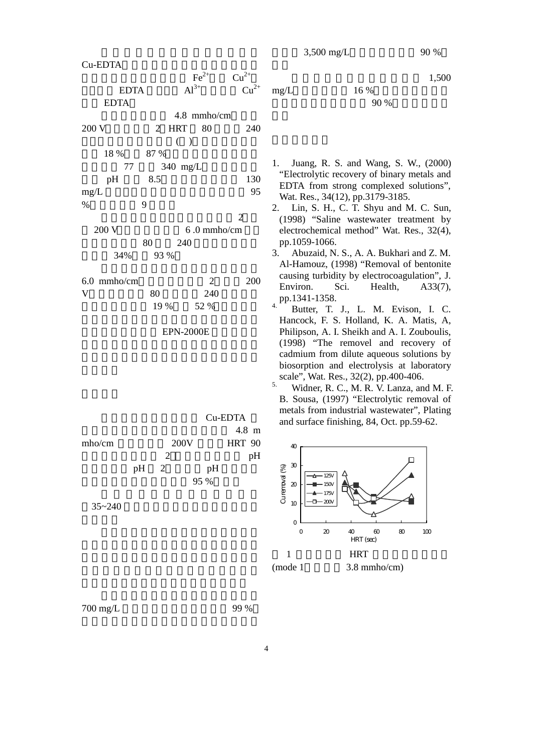以硫酸鋁作混凝劑,加藥量 1,500

| Cu-EDTA        |                | $\text{Fe}^{2+}$               | $Cu^{2+}$      |                          |
|----------------|----------------|--------------------------------|----------------|--------------------------|
| <b>EDTA</b>    |                | $Al^{3+}$                      | $Cu^{2+}$      | $\overline{1}$           |
| <b>EDTA</b>    |                |                                |                |                          |
| 200 V          |                | 4.8 mmho/cm<br>2 HRT 80<br>( ) | 240            |                          |
| 18 %           | 87 %           |                                |                |                          |
| 77             |                | 340 mg/L                       |                |                          |
| pH             | 8.5            |                                | 130            |                          |
| mg/L           |                |                                | 95             |                          |
| $\%$           | 9              |                                |                |                          |
|                |                |                                | $\overline{2}$ | $\overline{\phantom{a}}$ |
| 200 V          |                | 6.0 mmho/cm                    |                |                          |
|                | 80             | 240                            |                |                          |
| 34%            | 93 %           |                                |                | $\ddot{\phantom{0}}$     |
| 6.0 mmho/cm    |                | $\overline{2}$                 | 200            |                          |
| $\overline{V}$ | 80             | 240                            |                |                          |
|                | 19 %           | 52 %                           |                | $\overline{a}$           |
|                |                |                                |                |                          |
|                |                | <b>EPN-2000E</b>               |                |                          |
|                |                |                                |                |                          |
|                |                |                                |                |                          |
|                |                |                                |                |                          |
|                |                |                                |                | $\ddot{\cdot}$           |
|                |                |                                |                |                          |
|                |                |                                | Cu-EDTA        |                          |
|                |                |                                | 4.8 m          |                          |
| mho/cm         |                | 200V                           | <b>HRT 90</b>  |                          |
|                | $\overline{c}$ |                                | pH             |                          |
|                | $pH = 2$       | pH                             |                |                          |
|                |                | 95 %                           |                |                          |
|                |                |                                |                |                          |

 $35 - 240$ 

 $mg/L$  16 %

 $90\%$ 

- 1. Juang, R. S. and Wang, S. W., (2000) "Electrolytic recovery of binary metals and EDTA from strong complexed solutions", Wat. Res., 34(12), pp.3179-3185.
- 2. Lin, S. H., C. T. Shyu and M. C. Sun, (1998) "Saline wastewater treatment by electrochemical method" Wat. Res., 32(4), pp.1059-1066.
- 3. Abuzaid, N. S., A. A. Bukhari and Z. M. Al-Hamouz, (1998) "Removal of bentonite causing turbidity by electrocoagulation", J. Environ. Sci. Health, A33(7), pp.1341-1358.
- Butter, T. J., L. M. Evison, I. C. Hancock, F. S. Holland, K. A. Matis, A, Philipson, A. I. Sheikh and A. I. Zouboulis, (1998) "The removel and recovery of cadmium from dilute aqueous solutions by biosorption and electrolysis at laboratory scale", Wat. Res., 32(2), pp.400-406.
- $<sup>5</sup>$  Widner, R. C., M. R. V. Lanza, and M. F.</sup> B. Sousa, (1997) "Electrolytic removal of metals from industrial wastewater", Plating and surface finishing, 84, Oct. pp.59-62.



700 mg/L 99 %

4